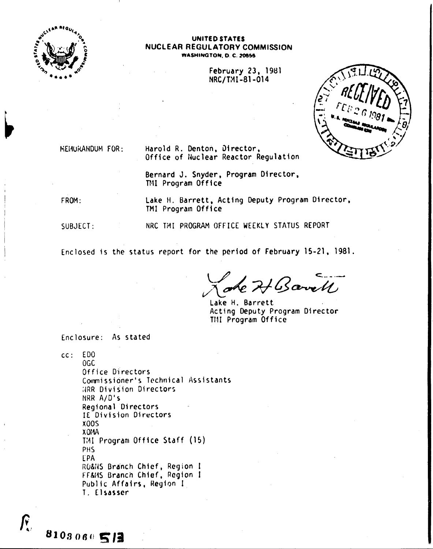

#### UNITED STATES NUCLEAR REGULATORY COMMISSION WASHINGTON, D. C. 20555

**February 23, 1981** NRC/TMI-81-014



**NEIJURANDUM FOR:** 

Harold R. Denton, Director, Office of Nuclear Reactor Regulation

Bernard J. Snyder, Program Director, TMI Program Office

FROM:

 $\bm{\mathit{F}}$ 

8103060513

Lake H. Barrett, Acting Deputy Program Director, TMI Program Office

SUBJECT:

NRC TMI PROGRAM OFFICE WEEKLY STATUS REPORT

Enclosed is the status report for the period of February 15-21, 1981.

4 Barrell

Lake H. Barrett Acting Deputy Program Director TMI Program Office

Enclosure: As stated

 $cc: EDO$  $0<sub>0</sub>$ Office Directors Commissioner's Technical Assistants HRR Division Directors NRR A/D's Regional Directors IE Division Directors **X005**  $XONA$ TMI Program Office Staff (15) **PHS** EPA RO&NS Branch Chief, Region I FF&MS Branch Chief, Region I Public Affairs, Region I T. Elsasser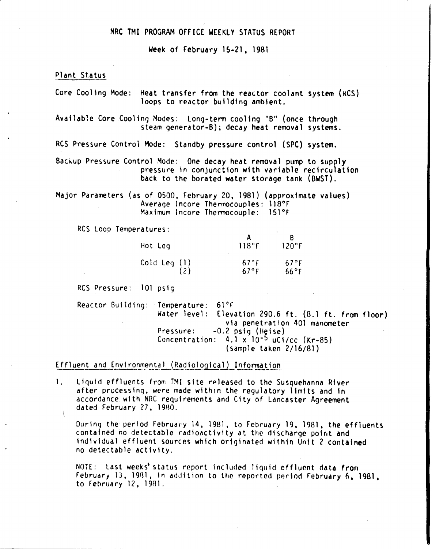# NRC TMI PROGRAM OFFICE WEEKLY STATUS REPORT

Week of February 15-21, 1981

## Plant Status

Core Cooling Mode: Heat transfer from the reactor coolant system (kCS) loops to reactor building ambient.

Available Core Cooling Modes: Long-term cooling "B" (once through steam generator-B); decay heat removal systems.

RCS Pressure Control Mode: Standby pressure control (SPC) system.

Backup Pressure Control Mode: One decay heat removal pump to supply pressure in conjunction with variable recirculation back to the borated water storage tank (BWST).

Major Parameters (as of 0500, February 20, 1981) (approximate values) Average Incore Thermocouples: 118°F Maximum Incore Thermocouple: 151°F

RCS lOOD Temperatures:

| Hot Leg      | $118^\circ$ F        | 120°F           |
|--------------|----------------------|-----------------|
| Cold Leg (1) | $67^\circ$ F<br>67°F | 67°F<br>$66°$ F |

Res Pressure: 101 psig

Reactor Building: Temperature: 61°F Water level: Elevation 290.6 ft. (8.1 ft. from floor) via penetration 401 manometer Pressure: -0.2 psiq (Heise) Concentration: 4.1 x'lO-5 *uCi/cc* (Kr-85) (sample taken 2/16/81)

Effluent and Environmental (Radiological) Information

1. Liquid effluents from TMI site rpleased to the Susquehanna River after processing, were made within the regulatory limits and in accordance with NRC requirements and City of Lancaster Agreement dated February 27, 1980.

During the period February 14, 1981, to February 19, 1981, the effluents contained no detectable radioactivity at the discharge point and individual effluent sources which originated within Unit 2 contained no detectable activity.

NOTE: Last weeks' status report included liquid effluent data from February 13, 1981, in addition to the reported period February 6, 1981, to february 12, 19B1.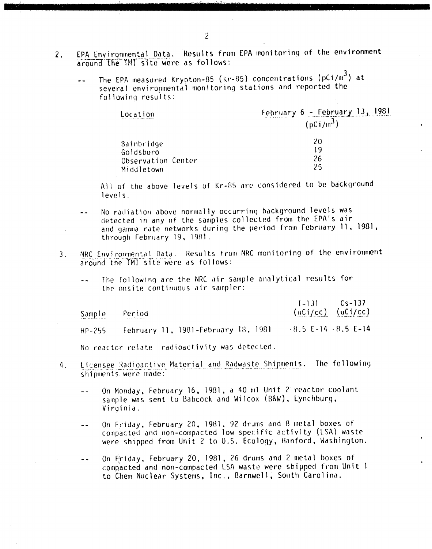- EPA Environmental Data. Results from EPA monitoring of the environment  $2.$ around the TMT site were as follows:
	- The EPA measured Krypton-85 (Kr-85) concentrations ( $pCi/m<sup>3</sup>$ ) at  $\overline{a}$ several environmental monitoring stations and reported the following results:

| Location                        | February 6 - February 13, 1981 |  |
|---------------------------------|--------------------------------|--|
| المتعطفين للمواجد الجاربيوس ويد | $(pCi/m^3)$                    |  |
| Bainbridge                      | 20                             |  |
| Goldsboro                       |                                |  |
| Observation Center              | 26                             |  |
| Middletown                      | クら                             |  |

All of the above levels of Kr-85 are considered to be background levels.

- No radiation above normally occurring background levels was detected in any of the samples collected from the EPA's air and gamma rate networks during the period from February 11, 1981, through February 19, 1981.
- NRC Environmental Data. Results from NRC monitoring of the environment  $3<sub>1</sub>$ around the TMI site were as follows:

 $\mathcal{L}$ 

The following are the NRC air sample analytical results for  $$ the onsite continuous air sampler:

| Sample     | Period |                                               | $1 - 131$               | $Cs - 137$<br>$(uCi/cc)$ $(uCi/cc)$ |
|------------|--------|-----------------------------------------------|-------------------------|-------------------------------------|
| $HP - 255$ |        | February 11, 1981-February 18, 1981           | $-8.5$ E-14 $-8.5$ E-14 |                                     |
|            |        | No reactor relate radioactivity was detected. |                         |                                     |

- Licensee Radioactive Material and Radwaste Shipments. The following  $4.$ shipments were made:
	- On Monday, February 16, 1981, a 40 ml Unit 2 reactor coolant  $\sim$   $\sim$ sample was sent to Babcock and Wilcox (B&W), Lynchburg, Virginia.
	- On Friday, February 20, 1981, 92 drums and 8 metal boxes of  $-1$ compacted and non-compacted low specific activity (LSA) waste were shipped from Unit 2 to U.S. Ecology, Hanford, Washington.
	- On Friday, February 20, 1981, 26 drums and 2 metal boxes of  $\omega$   $\omega$ compacted and non-compacted LSA waste were shipped from Unit 1 to Chem Nuclear Systems, Inc., Barnwell, South Carolina.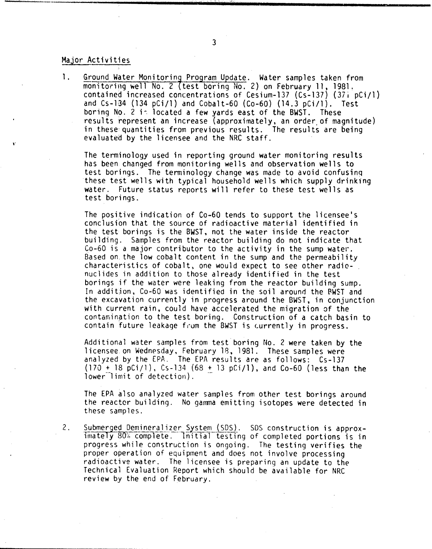## Major Activities

1. Ground Water Monitoring Program Update. Water samples taken from monitoring well No. 2 (test boring No. 2) on February 11, 1981. contained increased concentrations of Cesium-137 (Cs-137) (37j pCi/l) and  $Cs-134$  (134 pCi/l) and Cobalt-60 (Co-60) (14.3 pCi/l). Test boring No. 2 i~ located a few yards east of the BWST. These results represent an increase (approximately, an order of magnitude) in these: quantities from previous results. The results are being evaluated by the licensee and the NRC staff.

The terminology used in reporting ground water monitoring results has been changed from monitoring wells and observation wells to test borings. The terminology change was made to avoid confusinq these test wells with typical household wells which supply drinking water. Future status reports will refer to these test wells as test borings.

The positive indication of Co-60 tends to support the licensee's conclusion that the source of radioactive material identified in the test borings is the BWST, not the water inside the reactor building. Samples from the reactor building do not indicate that Co-60 is a major contributor to the activity in the sump water. Based on the low cobalt content in the sump and the permeability characteristics of cobalt, one would expect to see other radionuclides in addition to those already identified in the test borings if the water were leaking from the reactor building sump. In addition, Co-60 was identified in the soil around the RWST and the excavation currently in progress around the BWST, in conjunction with current rain, could have accelerated the migration of the contamination to the test boring. Construction of a catch basin to contain future leakage from the BWST is currently in progress.

Additional water samples from test boring No. 2 were taken by the licensee on Wedn~sday, February 18, 1981. analyzed by the EPA, The EPA results are (170  $\pm$  18 pCi/l), Cs-134 (68  $\pm$  13 pCi/l), and Co-60 (less than the  $lower$  $1$ imit of detection). These samples were as follows: Cs-137

The EPA also analyzed water samples from other test borings around the reactor building. No gamma emitting isotopes were detected in these samples.

2. Submerged Demineralizer System (SDS). SDS construction is approx. imately  $80\%$  complete. Initial testing of completed portions is in progress while construction is ongoing. The testing verifies the proper operation of equipment and does not involve processing radioactive water. The licensee is preparing an update to the Technical Evaluation Report which should be available for NRC review by the end of February.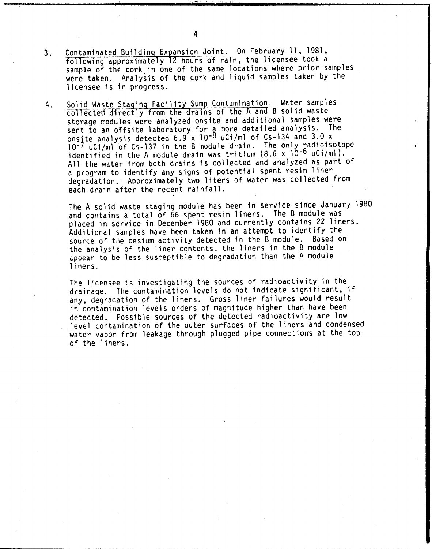- 3. Contaminated Building Expansion Joint. On February 11, 1981, following approximately 12 hours of rain, the licensee took a sample of the cork in one of the same locations where prior samples were taken. Analysis of the cork and liquid samples taken by the licensee is in progress.
- 4. Solid Waste Staging Facility Sump Contamination. Water samples collected directly from the drains of the <sup>A</sup> and B solid waste storage modules were analyzed onsite and additional samples were sent to an offsite laboratory for a more detailed analysis. The onsite analysis detected 6.9 x 10<sup>-8</sup> uCi/ml of Cs-134 and 3.0 x 10-7 uCi/ml of Cs-137 in the B module drain. The only radioisotope identified in the A module drain was tritium  $(8.6 \times 10^{-6} \text{ uCi/ml}).$ All the water from both drains is collected and analyzed as part of a program to identify any signs of potential spent resin liner degradation. Approximately two liters of water was collected from each drain after the recent rainfall.

The A solid waste staging module has been in service since January 1980 and contains a total of 66 spent resin liners. The B module was placed in service in December 1980 and currently contains 22 liners. Additional samples have been taken in an attempt to identify the source of the cesium activity detected in the B module. Based on the analysis of the liner contents, the liners in the B module appear to be less susceptible to degradation than the A module liners.

The licensee is investigating the sources of radioactivity in the drainage. The contamination levels do not indicate significant, if any, degradation of the liners. Gross liner failures would result in contamination levels orders of magnitude higher than have been detected. Possible sources of the detected radioactivity are low level contamination of the outer surfaces of the liners and condensed water vapor from leakage through plugged pipe connections at the top of the liners.